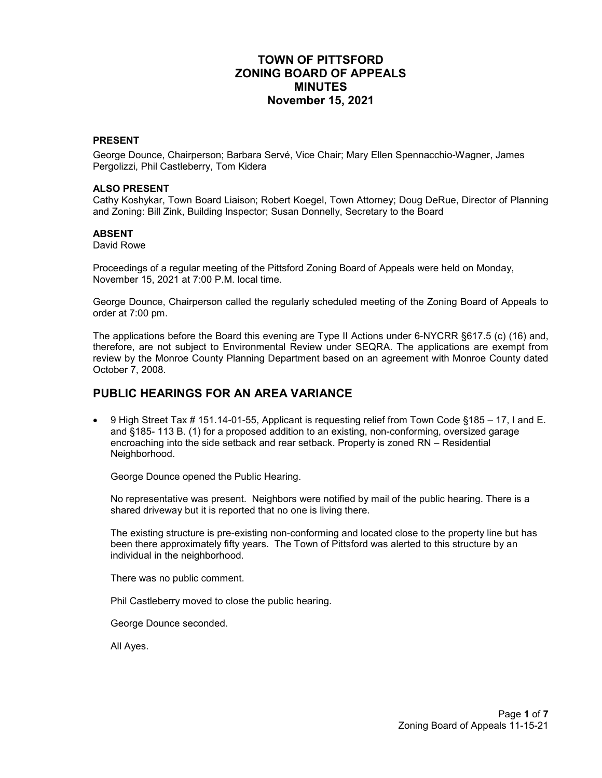# **TOWN OF PITTSFORD ZONING BOARD OF APPEALS MINUTES November 15, 2021**

#### **PRESENT**

George Dounce, Chairperson; Barbara Servé, Vice Chair; Mary Ellen Spennacchio-Wagner, James Pergolizzi, Phil Castleberry, Tom Kidera

#### **ALSO PRESENT**

Cathy Koshykar, Town Board Liaison; Robert Koegel, Town Attorney; Doug DeRue, Director of Planning and Zoning: Bill Zink, Building Inspector; Susan Donnelly, Secretary to the Board

#### **ABSENT**

David Rowe

Proceedings of a regular meeting of the Pittsford Zoning Board of Appeals were held on Monday, November 15, 2021 at 7:00 P.M. local time.

George Dounce, Chairperson called the regularly scheduled meeting of the Zoning Board of Appeals to order at 7:00 pm.

The applications before the Board this evening are Type II Actions under 6-NYCRR §617.5 (c) (16) and, therefore, are not subject to Environmental Review under SEQRA. The applications are exempt from review by the Monroe County Planning Department based on an agreement with Monroe County dated October 7, 2008.

#### **PUBLIC HEARINGS FOR AN AREA VARIANCE**

• 9 High Street Tax # 151.14-01-55, Applicant is requesting relief from Town Code §185 – 17, I and E. and §185- 113 B. (1) for a proposed addition to an existing, non-conforming, oversized garage encroaching into the side setback and rear setback. Property is zoned RN – Residential Neighborhood.

George Dounce opened the Public Hearing.

No representative was present. Neighbors were notified by mail of the public hearing. There is a shared driveway but it is reported that no one is living there.

The existing structure is pre-existing non-conforming and located close to the property line but has been there approximately fifty years. The Town of Pittsford was alerted to this structure by an individual in the neighborhood.

There was no public comment.

Phil Castleberry moved to close the public hearing.

George Dounce seconded.

All Ayes.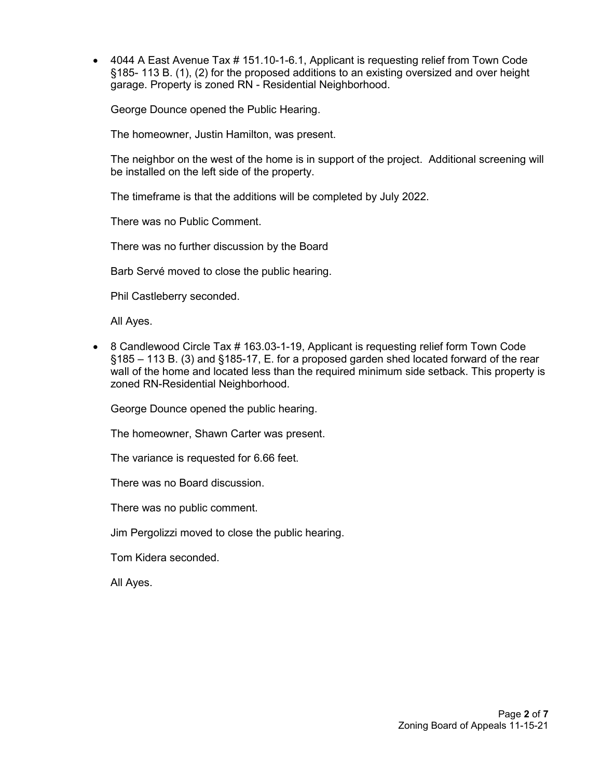• 4044 A East Avenue Tax # 151.10-1-6.1, Applicant is requesting relief from Town Code §185- 113 B. (1), (2) for the proposed additions to an existing oversized and over height garage. Property is zoned RN - Residential Neighborhood.

George Dounce opened the Public Hearing.

The homeowner, Justin Hamilton, was present.

The neighbor on the west of the home is in support of the project. Additional screening will be installed on the left side of the property.

The timeframe is that the additions will be completed by July 2022.

There was no Public Comment.

There was no further discussion by the Board

Barb Servé moved to close the public hearing.

Phil Castleberry seconded.

All Ayes.

• 8 Candlewood Circle Tax # 163.03-1-19, Applicant is requesting relief form Town Code §185 – 113 B. (3) and §185-17, E. for a proposed garden shed located forward of the rear wall of the home and located less than the required minimum side setback. This property is zoned RN-Residential Neighborhood.

George Dounce opened the public hearing.

The homeowner, Shawn Carter was present.

The variance is requested for 6.66 feet.

There was no Board discussion.

There was no public comment.

Jim Pergolizzi moved to close the public hearing.

Tom Kidera seconded.

All Ayes.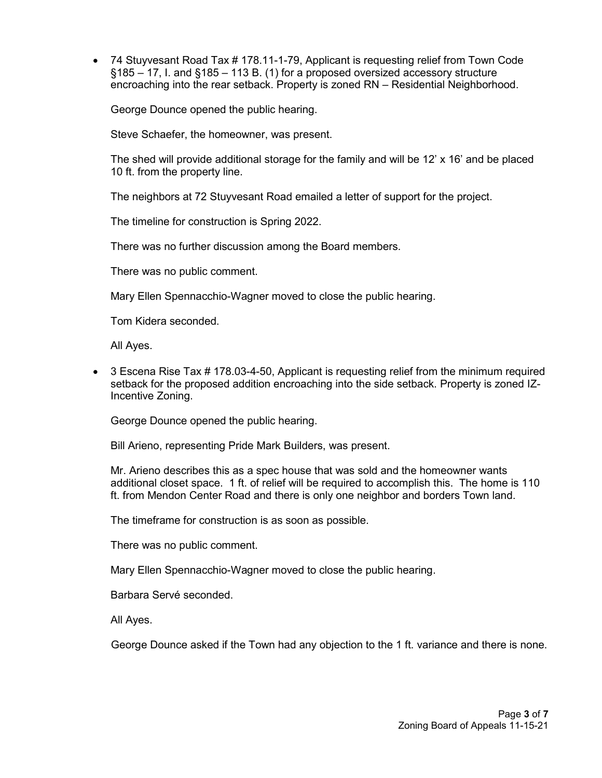• 74 Stuyvesant Road Tax # 178.11-1-79, Applicant is requesting relief from Town Code §185 – 17, I. and §185 – 113 B. (1) for a proposed oversized accessory structure encroaching into the rear setback. Property is zoned RN – Residential Neighborhood.

George Dounce opened the public hearing.

Steve Schaefer, the homeowner, was present.

The shed will provide additional storage for the family and will be 12' x 16' and be placed 10 ft. from the property line.

The neighbors at 72 Stuyvesant Road emailed a letter of support for the project.

The timeline for construction is Spring 2022.

There was no further discussion among the Board members.

There was no public comment.

Mary Ellen Spennacchio-Wagner moved to close the public hearing.

Tom Kidera seconded.

All Ayes.

• 3 Escena Rise Tax # 178.03-4-50, Applicant is requesting relief from the minimum required setback for the proposed addition encroaching into the side setback. Property is zoned IZ-Incentive Zoning.

George Dounce opened the public hearing.

Bill Arieno, representing Pride Mark Builders, was present.

Mr. Arieno describes this as a spec house that was sold and the homeowner wants additional closet space. 1 ft. of relief will be required to accomplish this. The home is 110 ft. from Mendon Center Road and there is only one neighbor and borders Town land.

The timeframe for construction is as soon as possible.

There was no public comment.

Mary Ellen Spennacchio-Wagner moved to close the public hearing.

Barbara Servé seconded.

All Ayes.

George Dounce asked if the Town had any objection to the 1 ft. variance and there is none.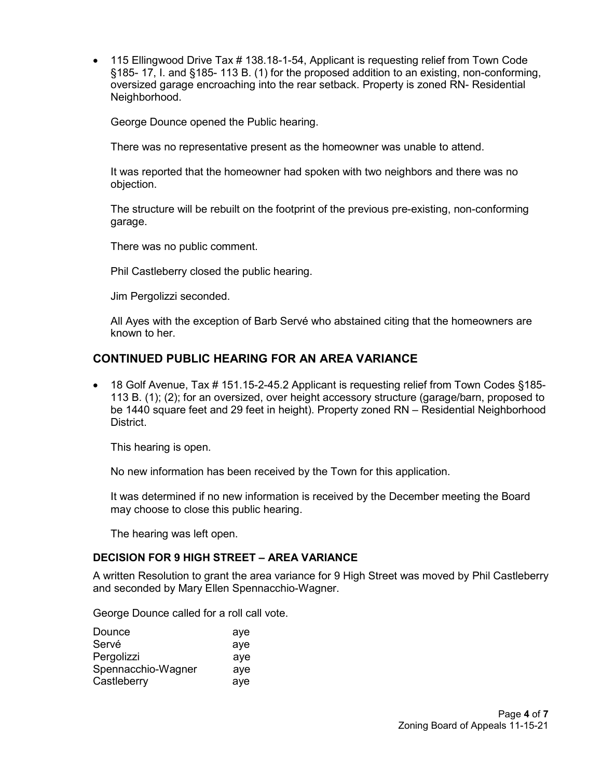• 115 Ellingwood Drive Tax # 138.18-1-54, Applicant is requesting relief from Town Code §185- 17, I. and §185- 113 B. (1) for the proposed addition to an existing, non-conforming, oversized garage encroaching into the rear setback. Property is zoned RN- Residential Neighborhood.

George Dounce opened the Public hearing.

There was no representative present as the homeowner was unable to attend.

It was reported that the homeowner had spoken with two neighbors and there was no objection.

The structure will be rebuilt on the footprint of the previous pre-existing, non-conforming garage.

There was no public comment.

Phil Castleberry closed the public hearing.

Jim Pergolizzi seconded.

All Ayes with the exception of Barb Servé who abstained citing that the homeowners are known to her.

# **CONTINUED PUBLIC HEARING FOR AN AREA VARIANCE**

• 18 Golf Avenue, Tax # 151.15-2-45.2 Applicant is requesting relief from Town Codes §185-113 B. (1); (2); for an oversized, over height accessory structure (garage/barn, proposed to be 1440 square feet and 29 feet in height). Property zoned RN – Residential Neighborhood District.

This hearing is open.

No new information has been received by the Town for this application.

It was determined if no new information is received by the December meeting the Board may choose to close this public hearing.

The hearing was left open.

### **DECISION FOR 9 HIGH STREET – AREA VARIANCE**

A written Resolution to grant the area variance for 9 High Street was moved by Phil Castleberry and seconded by Mary Ellen Spennacchio-Wagner.

George Dounce called for a roll call vote.

| Dounce             | aye |
|--------------------|-----|
| Servé              | aye |
| Pergolizzi         | aye |
| Spennacchio-Wagner | aye |
| Castleberry        | ave |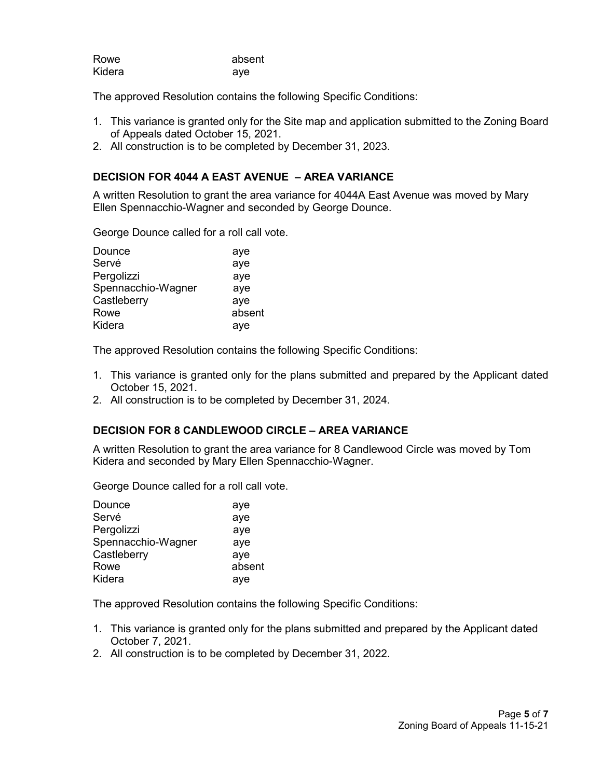| Rowe   | absent |
|--------|--------|
| Kidera | ave    |

The approved Resolution contains the following Specific Conditions:

- 1. This variance is granted only for the Site map and application submitted to the Zoning Board of Appeals dated October 15, 2021.
- 2. All construction is to be completed by December 31, 2023.

### **DECISION FOR 4044 A EAST AVENUE – AREA VARIANCE**

A written Resolution to grant the area variance for 4044A East Avenue was moved by Mary Ellen Spennacchio-Wagner and seconded by George Dounce.

George Dounce called for a roll call vote.

| Dounce             | aye    |
|--------------------|--------|
| Servé              | aye    |
| Pergolizzi         | aye    |
| Spennacchio-Wagner | aye    |
| Castleberry        | aye    |
| Rowe               | absent |
| Kidera             | aye    |

The approved Resolution contains the following Specific Conditions:

- 1. This variance is granted only for the plans submitted and prepared by the Applicant dated October 15, 2021.
- 2. All construction is to be completed by December 31, 2024.

### **DECISION FOR 8 CANDLEWOOD CIRCLE – AREA VARIANCE**

A written Resolution to grant the area variance for 8 Candlewood Circle was moved by Tom Kidera and seconded by Mary Ellen Spennacchio-Wagner.

George Dounce called for a roll call vote.

| Dounce             | aye    |
|--------------------|--------|
| Servé              | aye    |
| Pergolizzi         | aye    |
| Spennacchio-Wagner | aye    |
| Castleberry        | aye    |
| Rowe               | absent |
| Kidera             | aye    |

The approved Resolution contains the following Specific Conditions:

- 1. This variance is granted only for the plans submitted and prepared by the Applicant dated October 7, 2021.
- 2. All construction is to be completed by December 31, 2022.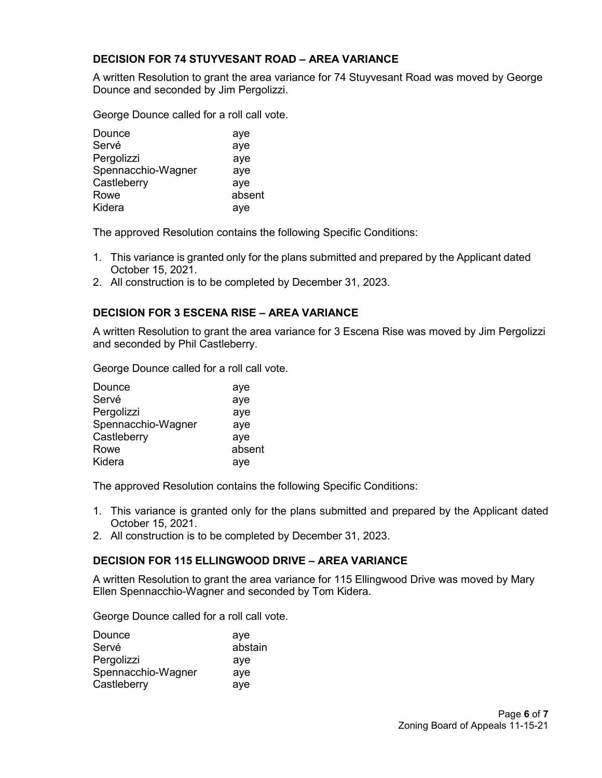## **DECISION FOR 74 STUYVESANT ROAD – AREA VARIANCE**

A written Resolution to grant the area variance for 74 Stuyvesant Road was moved by George Dounce and seconded by Jim Pergolizzi.

George Dounce called for a roll call vote.

| Dounce             | aye    |
|--------------------|--------|
| Servé              | aye    |
| Pergolizzi         | aye    |
| Spennacchio-Wagner | aye    |
| Castleberry        | aye    |
| Rowe               | absent |
| Kidera             | aye    |

The approved Resolution contains the following Specific Conditions:

- 1. This variance is granted only for the plans submitted and prepared by the Applicant dated October 15, 2021.
- 2. All construction is to be completed by December 31, 2023.

## **DECISION FOR 3 ESCENA RISE – AREA VARIANCE**

A written Resolution to grant the area variance for 3 Escena Rise was moved by Jim Pergolizzi and seconded by Phil Castleberry.

George Dounce called for a roll call vote.

| Dounce             | aye    |
|--------------------|--------|
| Servé              | aye    |
| Pergolizzi         | aye    |
| Spennacchio-Wagner | aye    |
| Castleberry        | aye    |
| Rowe               | absent |
| Kidera             | aye    |

The approved Resolution contains the following Specific Conditions:

- 1. This variance is granted only for the plans submitted and prepared by the Applicant dated October 15, 2021.
- 2. All construction is to be completed by December 31, 2023.

### **DECISION FOR 115 ELLINGWOOD DRIVE – AREA VARIANCE**

A written Resolution to grant the area variance for 115 Ellingwood Drive was moved by Mary Ellen Spennacchio-Wagner and seconded by Tom Kidera.

George Dounce called for a roll call vote.

| Dounce             | ave     |
|--------------------|---------|
| Servé              | abstain |
| Pergolizzi         | aye     |
| Spennacchio-Wagner | aye     |
| Castleberry        | aye     |